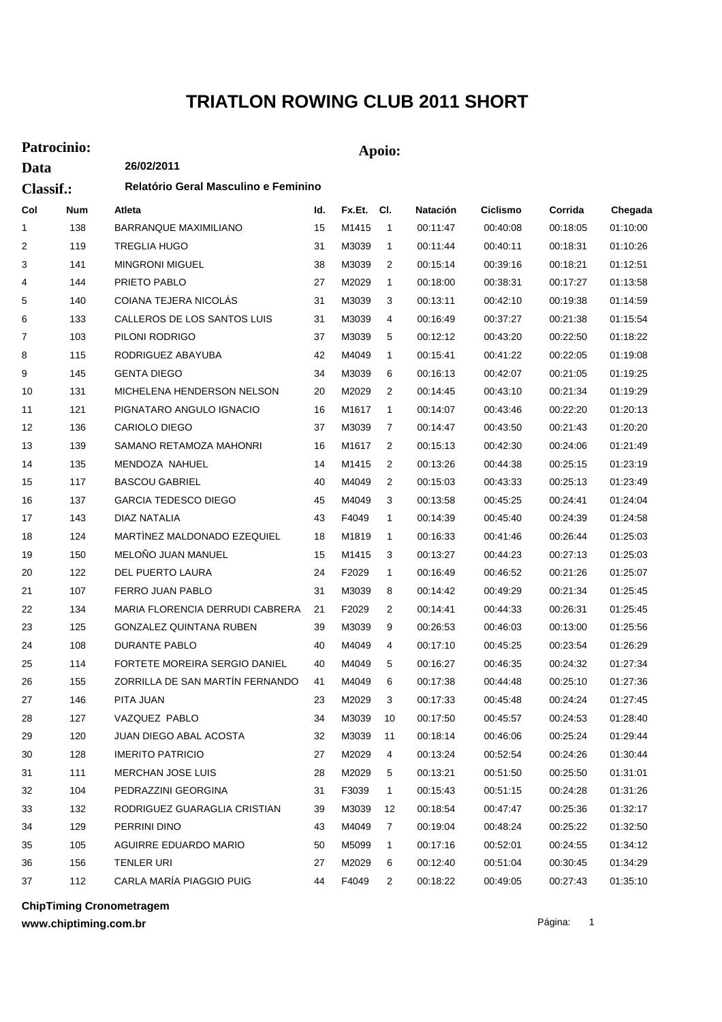## **TRIATLON ROWING CLUB 2011 SHORT**

## **Patrocinio: Apoio:**

| Data      |     | 26/02/2011                           |     |        |                |          |                 |          |          |  |  |
|-----------|-----|--------------------------------------|-----|--------|----------------|----------|-----------------|----------|----------|--|--|
| Classif.: |     | Relatório Geral Masculino e Feminino |     |        |                |          |                 |          |          |  |  |
| Col       | Num | Atleta                               | ld. | Fx.Et. | CI.            | Natación | <b>Ciclismo</b> | Corrida  | Chegada  |  |  |
| 1         | 138 | <b>BARRANQUE MAXIMILIANO</b>         | 15  | M1415  | $\overline{1}$ | 00:11:47 | 00:40:08        | 00:18:05 | 01:10:00 |  |  |
| 2         | 119 | <b>TREGLIA HUGO</b>                  | 31  | M3039  | 1              | 00:11:44 | 00:40:11        | 00:18:31 | 01:10:26 |  |  |
| 3         | 141 | <b>MINGRONI MIGUEL</b>               | 38  | M3039  | 2              | 00:15:14 | 00:39:16        | 00:18:21 | 01:12:51 |  |  |
| 4         | 144 | PRIETO PABLO                         | 27  | M2029  | 1              | 00:18:00 | 00:38:31        | 00:17:27 | 01:13:58 |  |  |
| 5         | 140 | COIANA TEJERA NICOLAS                | 31  | M3039  | 3              | 00:13:11 | 00:42:10        | 00:19:38 | 01:14:59 |  |  |
| 6         | 133 | CALLEROS DE LOS SANTOS LUIS          | 31  | M3039  | 4              | 00:16:49 | 00:37:27        | 00:21:38 | 01:15:54 |  |  |
| 7         | 103 | PILONI RODRIGO                       | 37  | M3039  | 5              | 00:12:12 | 00:43:20        | 00:22:50 | 01:18:22 |  |  |
| 8         | 115 | RODRIGUEZ ABAYUBA                    | 42  | M4049  | 1              | 00:15:41 | 00:41:22        | 00:22:05 | 01:19:08 |  |  |
| 9         | 145 | <b>GENTA DIEGO</b>                   | 34  | M3039  | 6              | 00:16:13 | 00:42:07        | 00:21:05 | 01:19:25 |  |  |
| 10        | 131 | MICHELENA HENDERSON NELSON           | 20  | M2029  | 2              | 00:14:45 | 00:43:10        | 00:21:34 | 01:19:29 |  |  |
| 11        | 121 | PIGNATARO ANGULO IGNACIO             | 16  | M1617  | 1              | 00:14:07 | 00:43:46        | 00:22:20 | 01:20:13 |  |  |
| 12        | 136 | <b>CARIOLO DIEGO</b>                 | 37  | M3039  | 7              | 00:14:47 | 00:43:50        | 00:21:43 | 01:20:20 |  |  |
| 13        | 139 | SAMANO RETAMOZA MAHONRI              | 16  | M1617  | 2              | 00:15:13 | 00:42:30        | 00:24:06 | 01:21:49 |  |  |
| 14        | 135 | MENDOZA NAHUEL                       | 14  | M1415  | 2              | 00:13:26 | 00:44:38        | 00:25:15 | 01:23:19 |  |  |
| 15        | 117 | <b>BASCOU GABRIEL</b>                | 40  | M4049  | 2              | 00:15:03 | 00:43:33        | 00:25:13 | 01:23:49 |  |  |
| 16        | 137 | <b>GARCIA TEDESCO DIEGO</b>          | 45  | M4049  | 3              | 00:13:58 | 00:45:25        | 00:24:41 | 01:24:04 |  |  |
| 17        | 143 | DIAZ NATALIA                         | 43  | F4049  | 1              | 00:14:39 | 00:45:40        | 00:24:39 | 01:24:58 |  |  |
| 18        | 124 | MARTINEZ MALDONADO EZEQUIEL          | 18  | M1819  | $\mathbf{1}$   | 00:16:33 | 00:41:46        | 00:26:44 | 01:25:03 |  |  |
| 19        | 150 | MELOÑO JUAN MANUEL                   | 15  | M1415  | 3              | 00:13:27 | 00:44:23        | 00:27:13 | 01:25:03 |  |  |
| 20        | 122 | DEL PUERTO LAURA                     | 24  | F2029  | 1              | 00:16:49 | 00:46:52        | 00:21:26 | 01:25:07 |  |  |
| 21        | 107 | FERRO JUAN PABLO                     | 31  | M3039  | 8              | 00:14:42 | 00:49:29        | 00:21:34 | 01:25:45 |  |  |
| 22        | 134 | MARIA FLORENCIA DERRUDI CABRERA      | 21  | F2029  | 2              | 00:14:41 | 00:44:33        | 00:26:31 | 01:25:45 |  |  |
| 23        | 125 | GONZALEZ QUINTANA RUBEN              | 39  | M3039  | 9              | 00:26:53 | 00:46:03        | 00:13:00 | 01:25:56 |  |  |
| 24        | 108 | DURANTE PABLO                        | 40  | M4049  | 4              | 00:17:10 | 00:45:25        | 00:23:54 | 01:26:29 |  |  |
| 25        | 114 | <b>FORTETE MOREIRA SERGIO DANIEL</b> | 40  | M4049  | 5              | 00:16:27 | 00:46:35        | 00:24:32 | 01:27:34 |  |  |
| 26        | 155 | ZORRILLA DE SAN MARTÍN FERNANDO      | 41  | M4049  | 6              | 00:17:38 | 00:44:48        | 00:25:10 | 01:27:36 |  |  |
| 27        | 146 | PITA JUAN                            | 23  | M2029  | 3              | 00:17:33 | 00:45:48        | 00:24:24 | 01:27:45 |  |  |
| 28        | 127 | VAZQUEZ PABLO                        | 34  | M3039  | 10             | 00:17:50 | 00:45:57        | 00:24:53 | 01:28:40 |  |  |
| 29        | 120 | JUAN DIEGO ABAL ACOSTA               | 32  | M3039  | 11             | 00:18:14 | 00:46:06        | 00:25:24 | 01:29:44 |  |  |
| 30        | 128 | <b>IMERITO PATRICIO</b>              | 27  | M2029  | 4              | 00:13:24 | 00:52:54        | 00:24:26 | 01:30:44 |  |  |
| 31        | 111 | MERCHAN JOSE LUIS                    | 28  | M2029  | 5              | 00:13:21 | 00:51:50        | 00:25:50 | 01:31:01 |  |  |
| 32        | 104 | PEDRAZZINI GEORGINA                  | 31  | F3039  | 1              | 00:15:43 | 00:51:15        | 00:24:28 | 01:31:26 |  |  |
| 33        | 132 | RODRIGUEZ GUARAGLIA CRISTIAN         | 39  | M3039  | 12             | 00:18:54 | 00:47:47        | 00:25:36 | 01:32:17 |  |  |
| 34        | 129 | PERRINI DINO                         | 43  | M4049  | 7              | 00:19:04 | 00:48:24        | 00:25:22 | 01:32:50 |  |  |
| 35        | 105 | AGUIRRE EDUARDO MARIO                | 50  | M5099  | 1              | 00:17:16 | 00:52:01        | 00:24:55 | 01:34:12 |  |  |
| 36        | 156 | TENLER URI                           | 27  | M2029  | 6              | 00:12:40 | 00:51:04        | 00:30:45 | 01:34:29 |  |  |
| 37        | 112 | CARLA MARÍA PIAGGIO PUIG             | 44  | F4049  | $\overline{2}$ | 00:18:22 | 00:49:05        | 00:27:43 | 01:35:10 |  |  |

**ChipTiming Cronometragem**

**www.chiptiming.com.br**

Página: 1